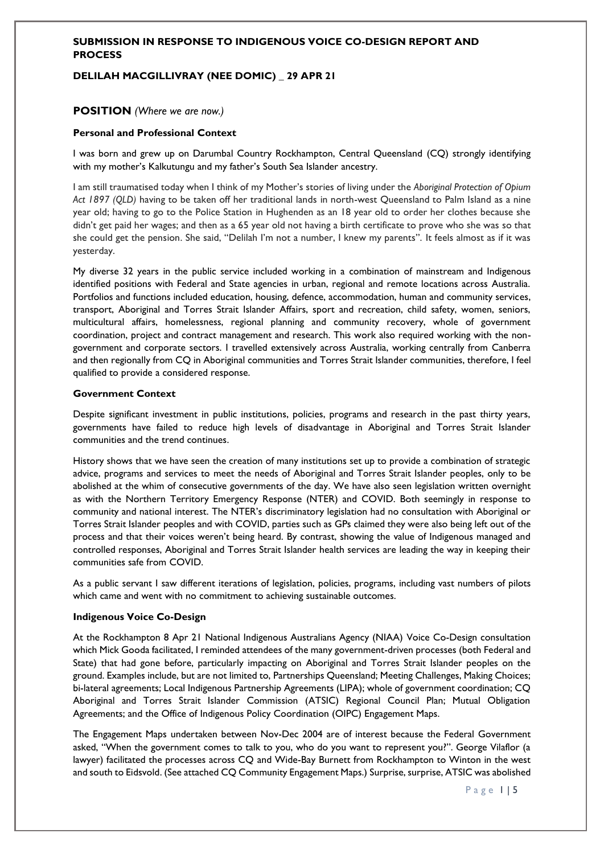#### **DELILAH MACGILLIVRAY (NEE DOMIC) \_ 29 APR 21**

#### **POSITION** *(Where we are now.)*

#### **Personal and Professional Context**

I was born and grew up on Darumbal Country Rockhampton, Central Queensland (CQ) strongly identifying with my mother's Kalkutungu and my father's South Sea Islander ancestry.

I am still traumatised today when I think of my Mother's stories of living under the *Aboriginal Protection of Opium Act 1897 (QLD)* having to be taken off her traditional lands in north-west Queensland to Palm Island as a nine year old; having to go to the Police Station in Hughenden as an 18 year old to order her clothes because she didn't get paid her wages; and then as a 65 year old not having a birth certificate to prove who she was so that she could get the pension. She said, "Delilah I'm not a number, I knew my parents". It feels almost as if it was yesterday.

My diverse 32 years in the public service included working in a combination of mainstream and Indigenous identified positions with Federal and State agencies in urban, regional and remote locations across Australia. Portfolios and functions included education, housing, defence, accommodation, human and community services, transport, Aboriginal and Torres Strait Islander Affairs, sport and recreation, child safety, women, seniors, multicultural affairs, homelessness, regional planning and community recovery, whole of government coordination, project and contract management and research. This work also required working with the nongovernment and corporate sectors. I travelled extensively across Australia, working centrally from Canberra and then regionally from CQ in Aboriginal communities and Torres Strait Islander communities, therefore, I feel qualified to provide a considered response.

#### **Government Context**

Despite significant investment in public institutions, policies, programs and research in the past thirty years, governments have failed to reduce high levels of disadvantage in Aboriginal and Torres Strait Islander communities and the trend continues.

History shows that we have seen the creation of many institutions set up to provide a combination of strategic advice, programs and services to meet the needs of Aboriginal and Torres Strait Islander peoples, only to be abolished at the whim of consecutive governments of the day. We have also seen legislation written overnight as with the Northern Territory Emergency Response (NTER) and COVID. Both seemingly in response to community and national interest. The NTER's discriminatory legislation had no consultation with Aboriginal or Torres Strait Islander peoples and with COVID, parties such as GPs claimed they were also being left out of the process and that their voices weren't being heard. By contrast, showing the value of Indigenous managed and controlled responses, Aboriginal and Torres Strait Islander health services are leading the way in keeping their communities safe from COVID.

As a public servant I saw different iterations of legislation, policies, programs, including vast numbers of pilots which came and went with no commitment to achieving sustainable outcomes.

#### **Indigenous Voice Co-Design**

At the Rockhampton 8 Apr 21 National Indigenous Australians Agency (NIAA) Voice Co-Design consultation which Mick Gooda facilitated, I reminded attendees of the many government-driven processes (both Federal and State) that had gone before, particularly impacting on Aboriginal and Torres Strait Islander peoples on the ground. Examples include, but are not limited to, Partnerships Queensland; Meeting Challenges, Making Choices; bi-lateral agreements; Local Indigenous Partnership Agreements (LIPA); whole of government coordination; CQ Aboriginal and Torres Strait Islander Commission (ATSIC) Regional Council Plan; Mutual Obligation Agreements; and the Office of Indigenous Policy Coordination (OIPC) Engagement Maps.

The Engagement Maps undertaken between Nov-Dec 2004 are of interest because the Federal Government asked, "When the government comes to talk to you, who do you want to represent you?". George Vilaflor (a lawyer) facilitated the processes across CQ and Wide-Bay Burnett from Rockhampton to Winton in the west and south to Eidsvold. (See attached CQ Community Engagement Maps.) Surprise, surprise, ATSIC was abolished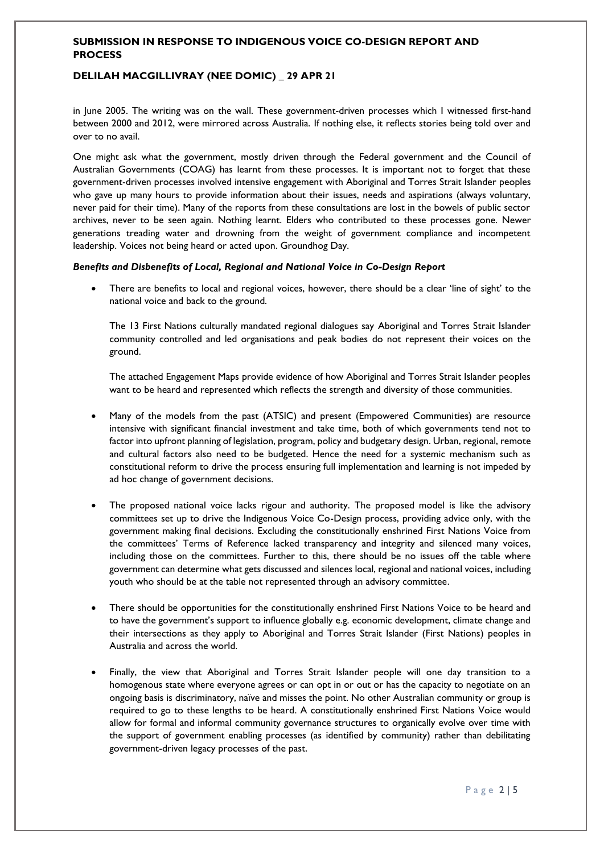#### **DELILAH MACGILLIVRAY (NEE DOMIC) \_ 29 APR 21**

in June 2005. The writing was on the wall. These government-driven processes which I witnessed first-hand between 2000 and 2012, were mirrored across Australia. If nothing else, it reflects stories being told over and over to no avail.

One might ask what the government, mostly driven through the Federal government and the Council of Australian Governments (COAG) has learnt from these processes. It is important not to forget that these government-driven processes involved intensive engagement with Aboriginal and Torres Strait Islander peoples who gave up many hours to provide information about their issues, needs and aspirations (always voluntary, never paid for their time). Many of the reports from these consultations are lost in the bowels of public sector archives, never to be seen again. Nothing learnt. Elders who contributed to these processes gone. Newer generations treading water and drowning from the weight of government compliance and incompetent leadership. Voices not being heard or acted upon. Groundhog Day.

*Benefits and Disbenefits of Local, Regional and National Voice in Co-Design Report*

There are benefits to local and regional voices, however, there should be a clear 'line of sight' to the national voice and back to the ground.

The 13 First Nations culturally mandated regional dialogues say Aboriginal and Torres Strait Islander community controlled and led organisations and peak bodies do not represent their voices on the ground.

The attached Engagement Maps provide evidence of how Aboriginal and Torres Strait Islander peoples want to be heard and represented which reflects the strength and diversity of those communities.

- Many of the models from the past (ATSIC) and present (Empowered Communities) are resource intensive with significant financial investment and take time, both of which governments tend not to factor into upfront planning of legislation, program, policy and budgetary design. Urban, regional, remote and cultural factors also need to be budgeted. Hence the need for a systemic mechanism such as constitutional reform to drive the process ensuring full implementation and learning is not impeded by ad hoc change of government decisions.
- The proposed national voice lacks rigour and authority. The proposed model is like the advisory committees set up to drive the Indigenous Voice Co-Design process, providing advice only, with the government making final decisions. Excluding the constitutionally enshrined First Nations Voice from the committees' Terms of Reference lacked transparency and integrity and silenced many voices, including those on the committees. Further to this, there should be no issues off the table where government can determine what gets discussed and silences local, regional and national voices, including youth who should be at the table not represented through an advisory committee.
- There should be opportunities for the constitutionally enshrined First Nations Voice to be heard and to have the government's support to influence globally e.g. economic development, climate change and their intersections as they apply to Aboriginal and Torres Strait Islander (First Nations) peoples in Australia and across the world.
- Finally, the view that Aboriginal and Torres Strait Islander people will one day transition to a homogenous state where everyone agrees or can opt in or out or has the capacity to negotiate on an ongoing basis is discriminatory, naïve and misses the point. No other Australian community or group is required to go to these lengths to be heard. A constitutionally enshrined First Nations Voice would allow for formal and informal community governance structures to organically evolve over time with the support of government enabling processes (as identified by community) rather than debilitating government-driven legacy processes of the past.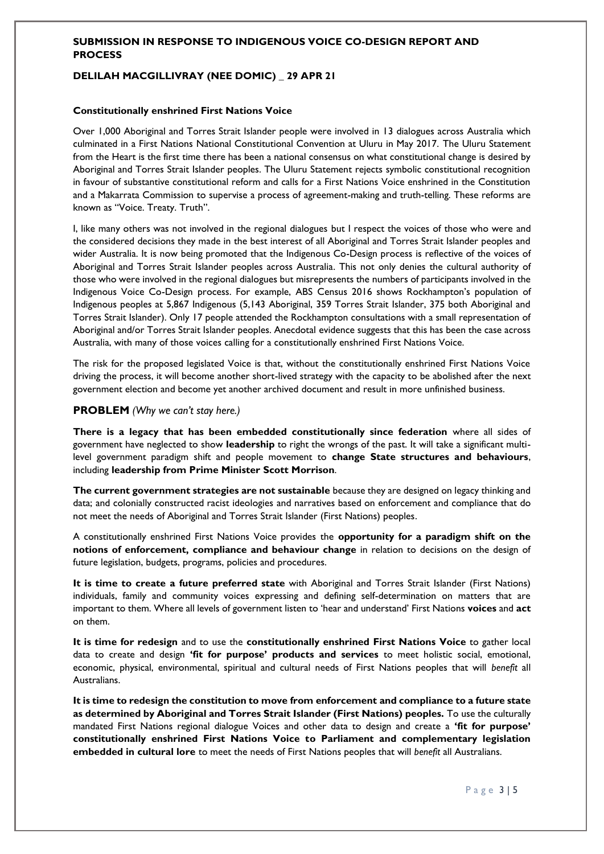#### **DELILAH MACGILLIVRAY (NEE DOMIC) \_ 29 APR 21**

#### **Constitutionally enshrined First Nations Voice**

Over 1,000 Aboriginal and Torres Strait Islander people were involved in 13 dialogues across Australia which culminated in a First Nations National Constitutional Convention at Uluru in May 2017. The Uluru Statement from the Heart is the first time there has been a national consensus on what constitutional change is desired by Aboriginal and Torres Strait Islander peoples. The Uluru Statement rejects symbolic constitutional recognition in favour of substantive constitutional reform and calls for a First Nations Voice enshrined in the Constitution and a Makarrata Commission to supervise a process of agreement-making and truth-telling. These reforms are known as "Voice. Treaty. Truth".

I, like many others was not involved in the regional dialogues but I respect the voices of those who were and the considered decisions they made in the best interest of all Aboriginal and Torres Strait Islander peoples and wider Australia. It is now being promoted that the Indigenous Co-Design process is reflective of the voices of Aboriginal and Torres Strait Islander peoples across Australia. This not only denies the cultural authority of those who were involved in the regional dialogues but misrepresents the numbers of participants involved in the Indigenous Voice Co-Design process. For example, ABS Census 2016 shows Rockhampton's population of Indigenous peoples at 5,867 Indigenous (5,143 Aboriginal, 359 Torres Strait Islander, 375 both Aboriginal and Torres Strait Islander). Only 17 people attended the Rockhampton consultations with a small representation of Aboriginal and/or Torres Strait Islander peoples. Anecdotal evidence suggests that this has been the case across Australia, with many of those voices calling for a constitutionally enshrined First Nations Voice.

The risk for the proposed legislated Voice is that, without the constitutionally enshrined First Nations Voice driving the process, it will become another short-lived strategy with the capacity to be abolished after the next government election and become yet another archived document and result in more unfinished business.

#### **PROBLEM** *(Why we can't stay here.)*

**There is a legacy that has been embedded constitutionally since federation** where all sides of government have neglected to show **leadership** to right the wrongs of the past. It will take a significant multilevel government paradigm shift and people movement to **change State structures and behaviours**, including **leadership from Prime Minister Scott Morrison**.

**The current government strategies are not sustainable** because they are designed on legacy thinking and data; and colonially constructed racist ideologies and narratives based on enforcement and compliance that do not meet the needs of Aboriginal and Torres Strait Islander (First Nations) peoples.

A constitutionally enshrined First Nations Voice provides the **opportunity for a paradigm shift on the notions of enforcement, compliance and behaviour change** in relation to decisions on the design of future legislation, budgets, programs, policies and procedures.

**It is time to create a future preferred state** with Aboriginal and Torres Strait Islander (First Nations) individuals, family and community voices expressing and defining self-determination on matters that are important to them. Where all levels of government listen to 'hear and understand' First Nations **voices** and **act** on them.

**It is time for redesign** and to use the **constitutionally enshrined First Nations Voice** to gather local data to create and design **'fit for purpose' products and services** to meet holistic social, emotional, economic, physical, environmental, spiritual and cultural needs of First Nations peoples that will *benefit* all Australians.

**It is time to redesign the constitution to move from enforcement and compliance to a future state as determined by Aboriginal and Torres Strait Islander (First Nations) peoples.** To use the culturally mandated First Nations regional dialogue Voices and other data to design and create a **'fit for purpose' constitutionally enshrined First Nations Voice to Parliament and complementary legislation embedded in cultural lore** to meet the needs of First Nations peoples that will *benefit* all Australians.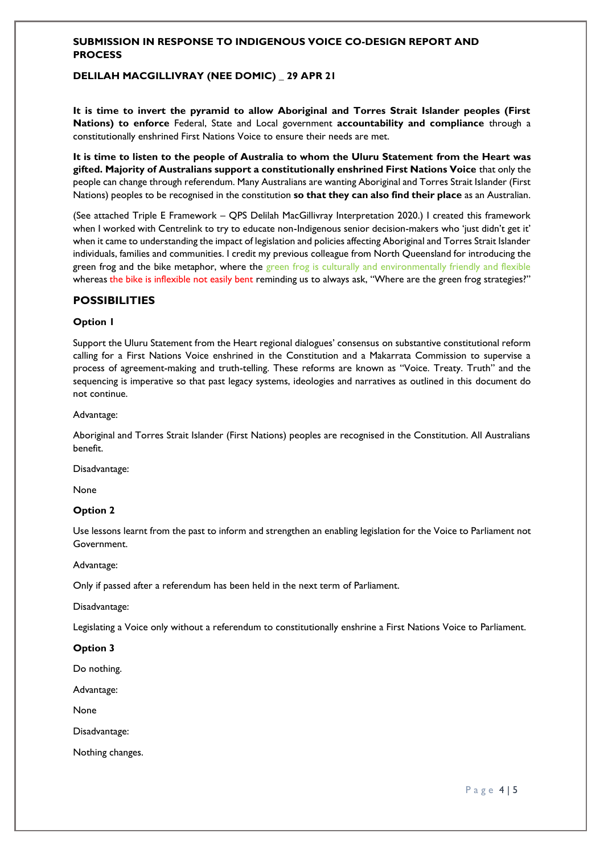#### **DELILAH MACGILLIVRAY (NEE DOMIC) \_ 29 APR 21**

**It is time to invert the pyramid to allow Aboriginal and Torres Strait Islander peoples (First Nations) to enforce** Federal, State and Local government **accountability and compliance** through a constitutionally enshrined First Nations Voice to ensure their needs are met.

**It is time to listen to the people of Australia to whom the Uluru Statement from the Heart was gifted. Majority of Australians support a constitutionally enshrined First Nations Voice** that only the people can change through referendum. Many Australians are wanting Aboriginal and Torres Strait Islander (First Nations) peoples to be recognised in the constitution **so that they can also find their place** as an Australian.

(See attached Triple E Framework – QPS Delilah MacGillivray Interpretation 2020.) I created this framework when I worked with Centrelink to try to educate non-Indigenous senior decision-makers who 'just didn't get it' when it came to understanding the impact of legislation and policies affecting Aboriginal and Torres Strait Islander individuals, families and communities. I credit my previous colleague from North Queensland for introducing the green frog and the bike metaphor, where the green frog is culturally and environmentally friendly and flexible whereas the bike is inflexible not easily bent reminding us to always ask, "Where are the green frog strategies?"

#### **POSSIBILITIES**

#### **Option 1**

Support the Uluru Statement from the Heart regional dialogues' consensus on substantive constitutional reform calling for a First Nations Voice enshrined in the Constitution and a Makarrata Commission to supervise a process of agreement-making and truth-telling. These reforms are known as "Voice. Treaty. Truth" and the sequencing is imperative so that past legacy systems, ideologies and narratives as outlined in this document do not continue.

#### Advantage:

Aboriginal and Torres Strait Islander (First Nations) peoples are recognised in the Constitution. All Australians benefit.

Disadvantage:

None

#### **Option 2**

Use lessons learnt from the past to inform and strengthen an enabling legislation for the Voice to Parliament not Government.

Advantage:

Only if passed after a referendum has been held in the next term of Parliament.

Disadvantage:

Legislating a Voice only without a referendum to constitutionally enshrine a First Nations Voice to Parliament.

**Option 3**

Do nothing.

Advantage:

None

Disadvantage:

Nothing changes.

P a g e 4 | 5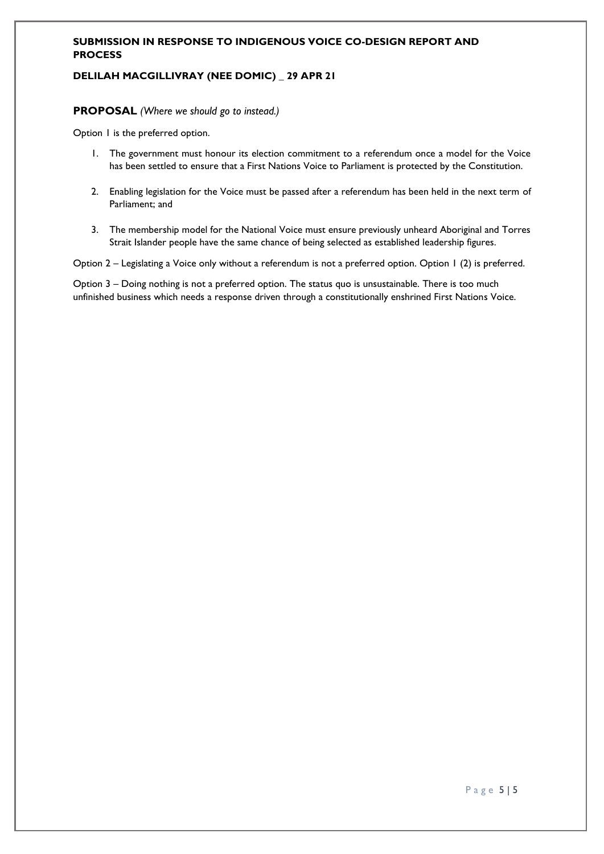#### **DELILAH MACGILLIVRAY (NEE DOMIC) \_ 29 APR 21**

#### **PROPOSAL** *(Where we should go to instead.)*

Option 1 is the preferred option.

- 1. The government must honour its election commitment to a referendum once a model for the Voice has been settled to ensure that a First Nations Voice to Parliament is protected by the Constitution.
- 2. Enabling legislation for the Voice must be passed after a referendum has been held in the next term of Parliament; and
- 3. The membership model for the National Voice must ensure previously unheard Aboriginal and Torres Strait Islander people have the same chance of being selected as established leadership figures.

Option 2 – Legislating a Voice only without a referendum is not a preferred option. Option 1 (2) is preferred.

Option 3 – Doing nothing is not a preferred option. The status quo is unsustainable. There is too much unfinished business which needs a response driven through a constitutionally enshrined First Nations Voice.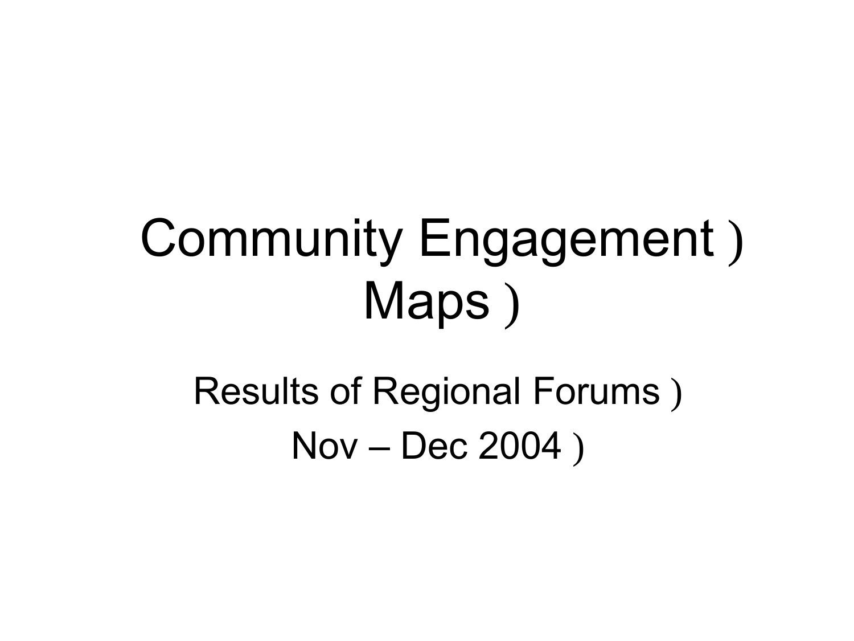## Community Engagement ) Maps)

## Results of Regional Forums ) Nov – Dec 2004 )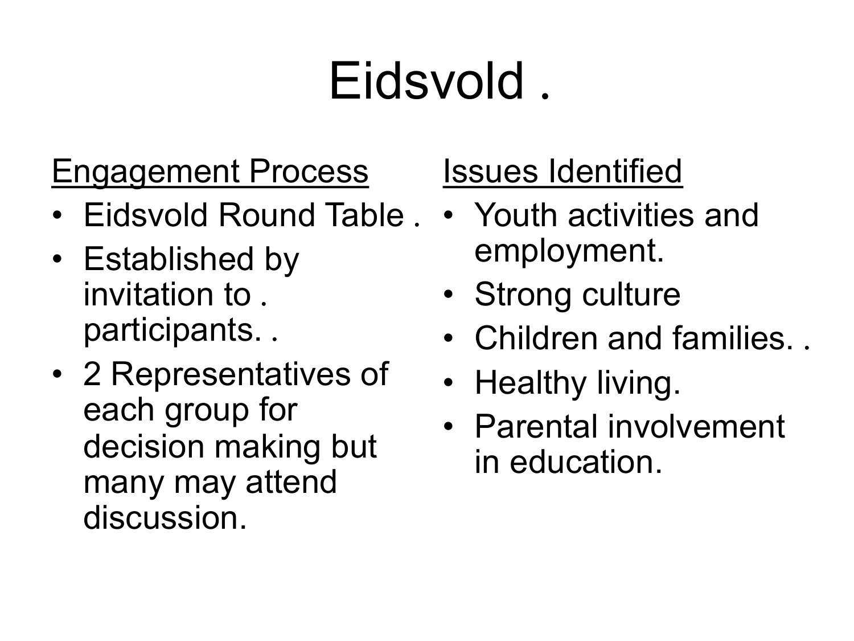## Eidsvold .

### Engagement Process

- Eidsvold Round Table .
- invitation to . • Established by participants. .
- each group for decision making but • 2 Representatives of many may attend discussion.

## Issues Identified

- Youth activities and employment.
- Strong culture
- Children and families. .
- Healthy living.
- Parental involvement in education.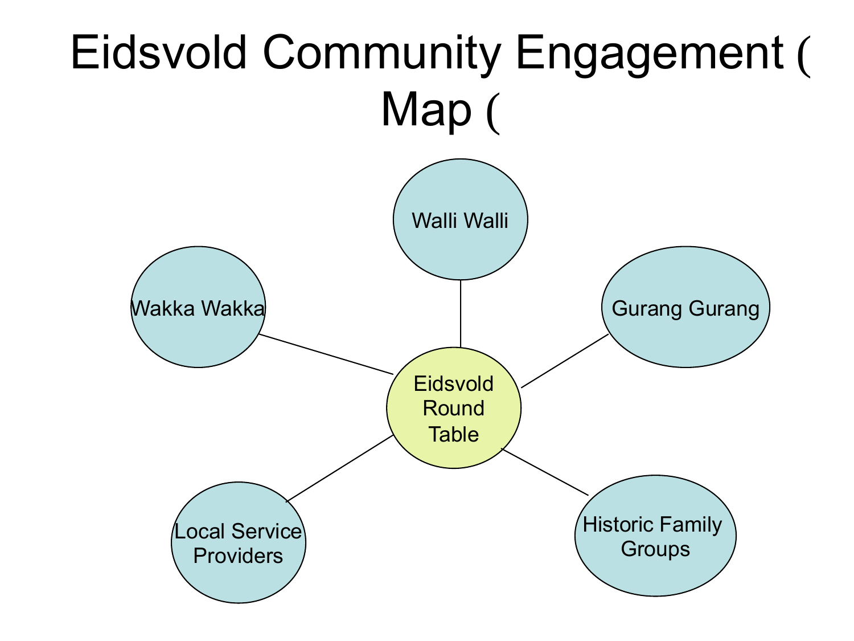## Eidsvold Community Engagement ( Map (

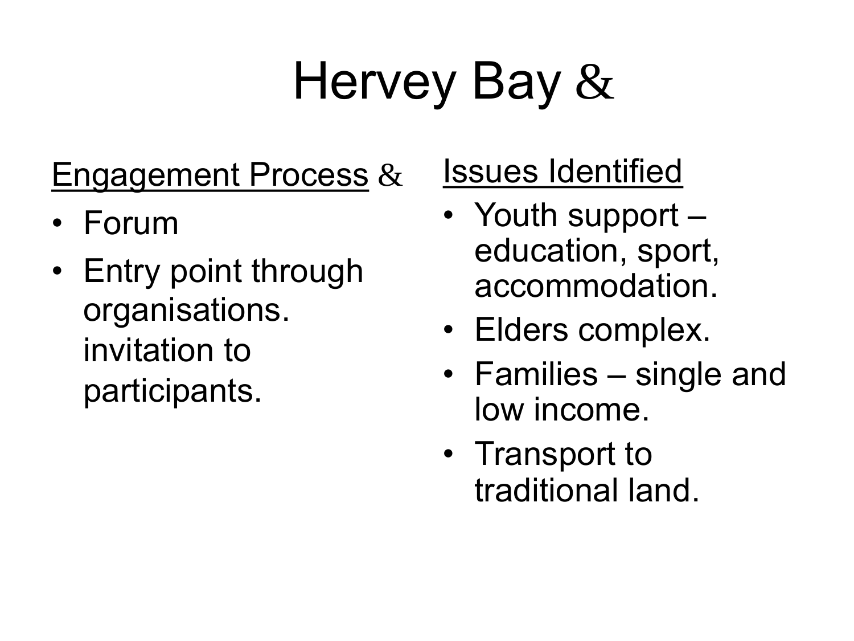## Hervey Bay &

### Engagement Process &

- Forum
- • Entry point through invitation to organisations. participants.

### Issues Identified

- • Youth support education, sport, accommodation.
- Elders complex.
- • Families single and low income.
- • Transport to traditional land.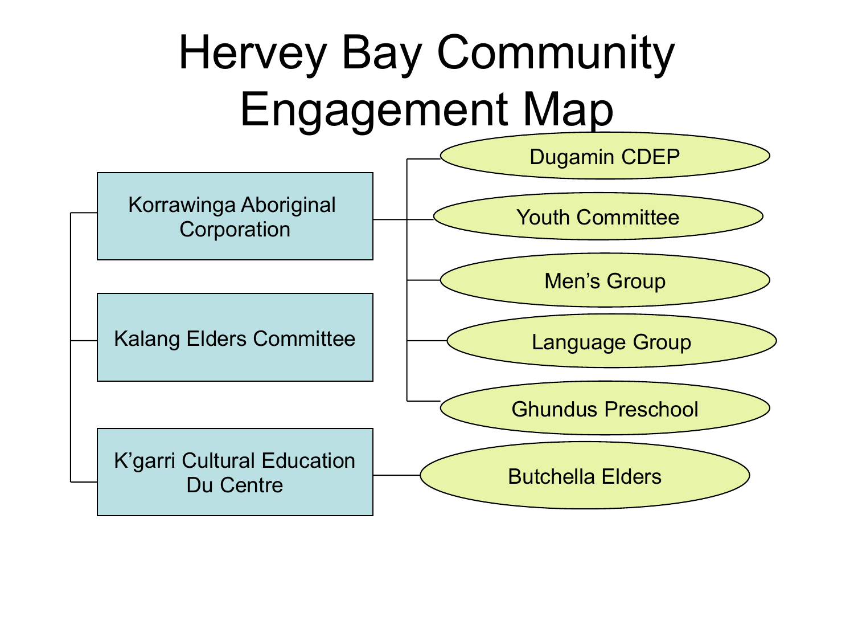## Hervey Bay Community Engagement Map

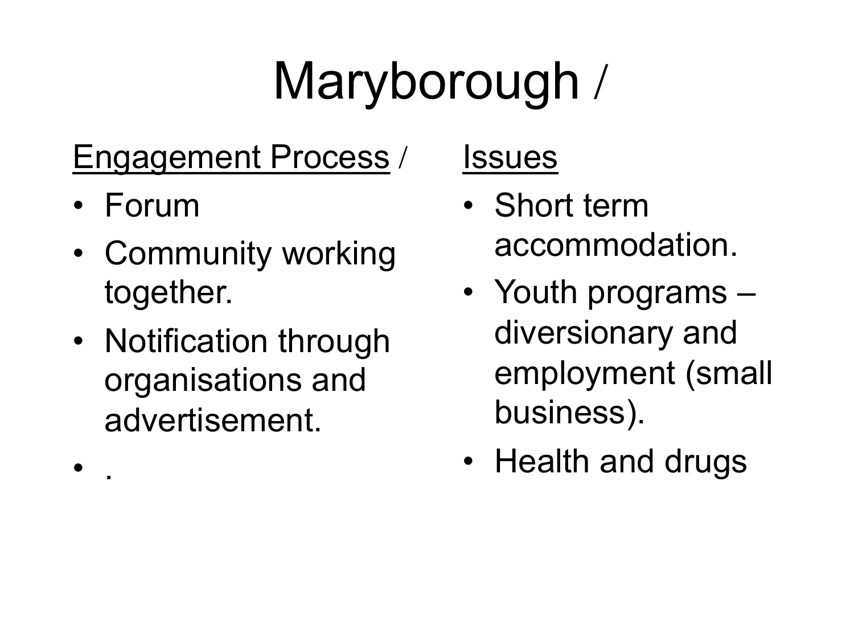## Maryborough /

## Engagement Process /

• Forum

• .

- Community working together.
- • Notification through organisations and advertisement.

**Issues** 

- • Short term accommodation.
- employment (small • Youth programs – diversionary and business).
- Health and drugs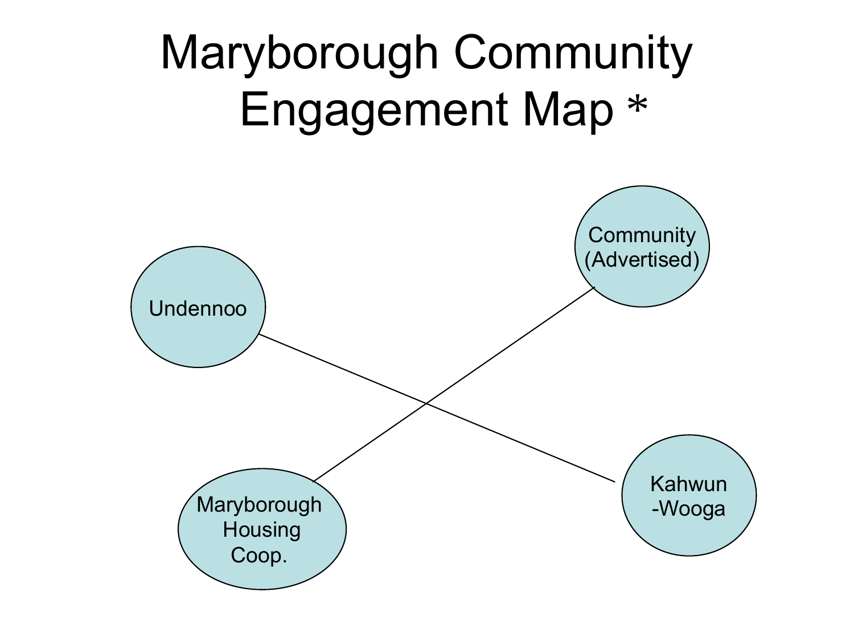## Maryborough Community Engagement Map \* Undennoo **Community** (Advertised)

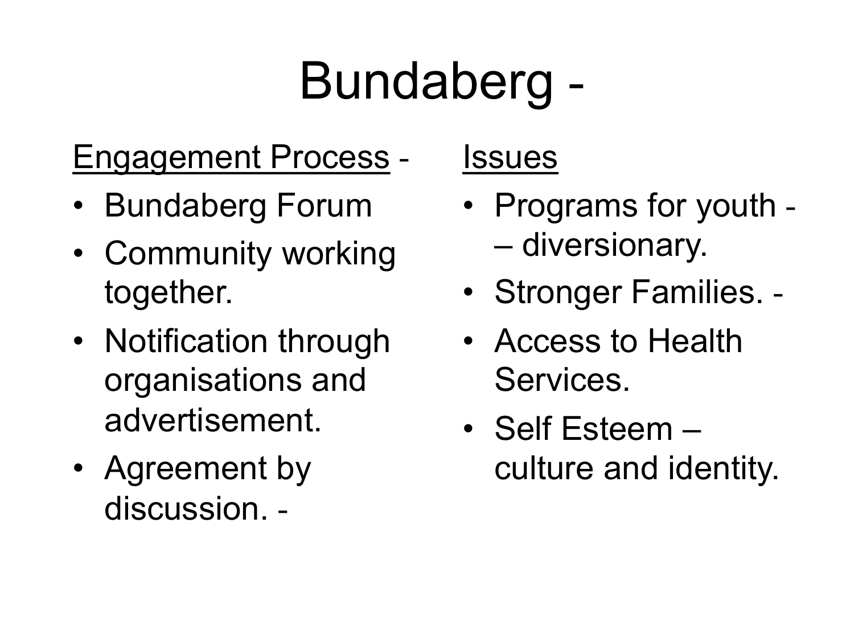## Bundaberg -

## Engagement Process -

- Bundaberg Forum
- Community working together.
- • Notification through organisations and advertisement.
- Agreement by discussion. -

### **Issues**

- • Programs for youth – diversionary.
- Stronger Families. -
- • Access to Health Services.
- • Self Esteem culture and identity.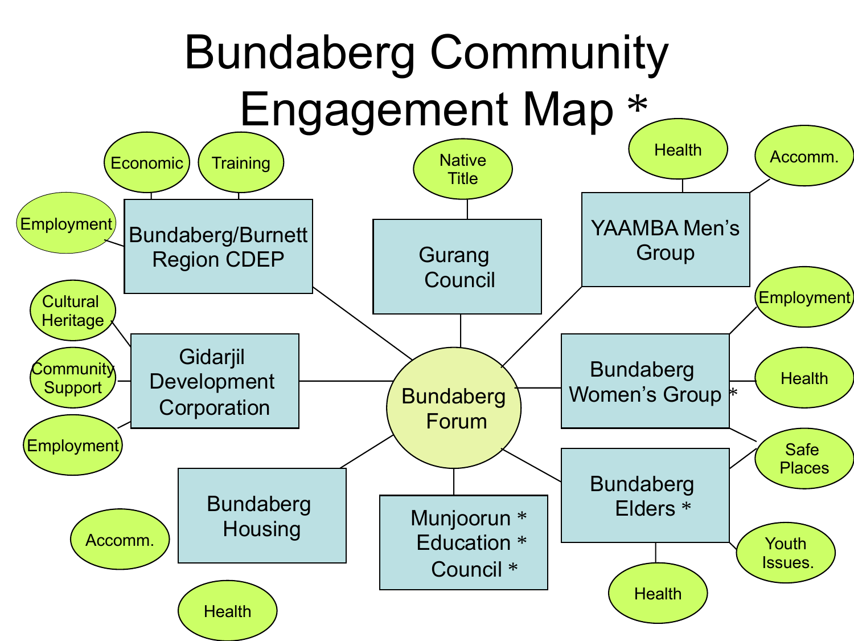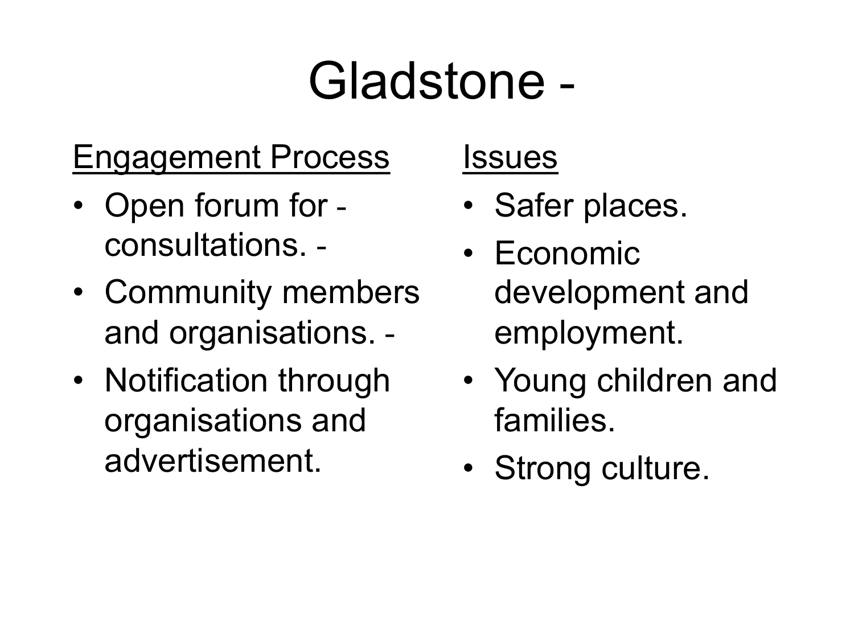## Gladstone -

## Engagement Process

- Open forum for consultations. -
- Community members and organisations. -
- • Notification through organisations and advertisement.

### **Issues**

- Safer places.
- development and • Economic employment.
- • Young children and families.
- Strong culture.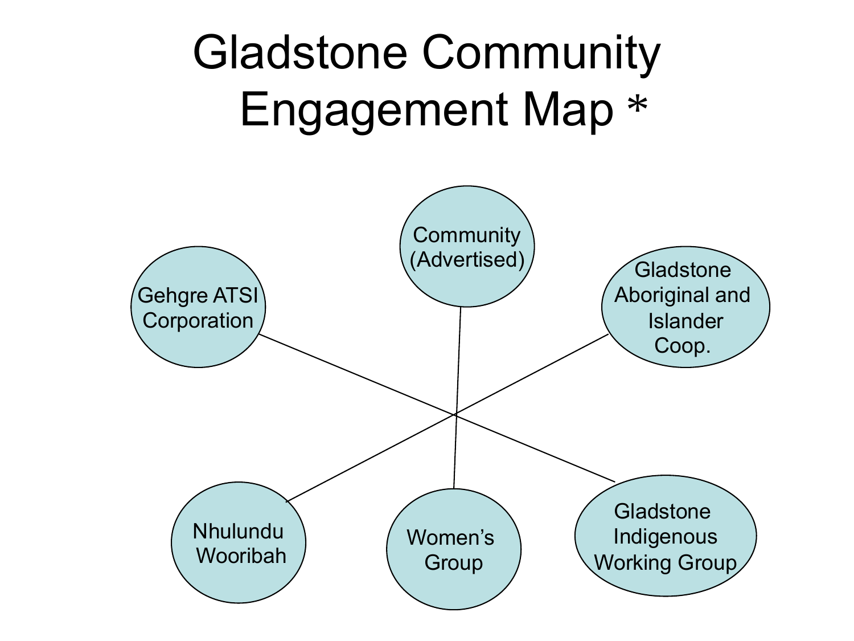## Gladstone Community Engagement Map \*

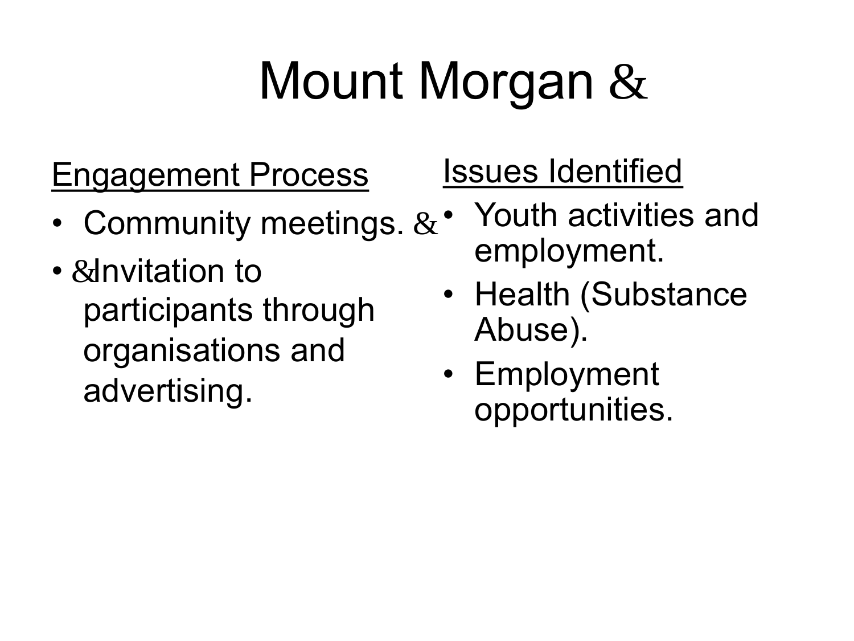## Mount Morgan &

## Engagement Process

- Community meetings. &
- &Invitation to participants through organisations and advertising.

## Issues Identified

- Youth activities and employment.
- Health (Substance Abuse).
- Employment opportunities.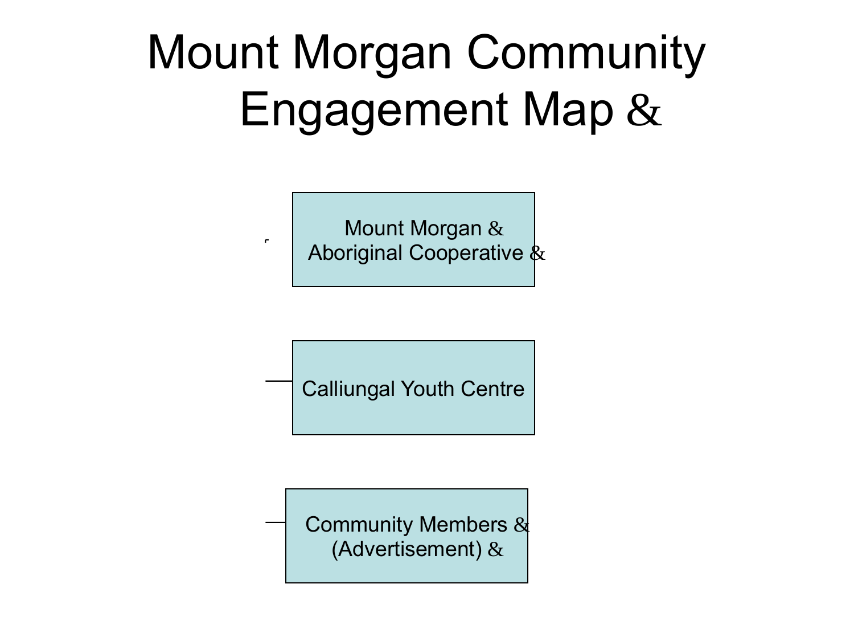## Mount Morgan Community Engagement Map &

Mount Morgan & Aboriginal Cooperative  $\&$ 

 $\mathbf{r}$ 

Calliungal Youth Centre

Community Members & (Advertisement) &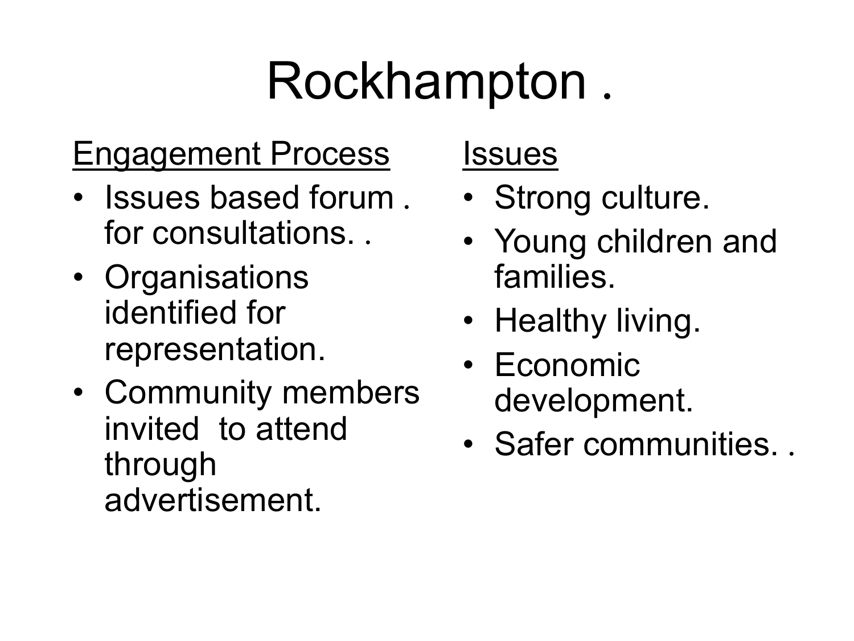## Rockhampton .

### Engagement Process

- • Issues based forum . for consultations. .
- identified for • Organisations representation.
- invited to attend • Community members through advertisement.

### Issues

- Strong culture.
- • Young children and families.
- Healthy living.
- Economic development.
- Safer communities. .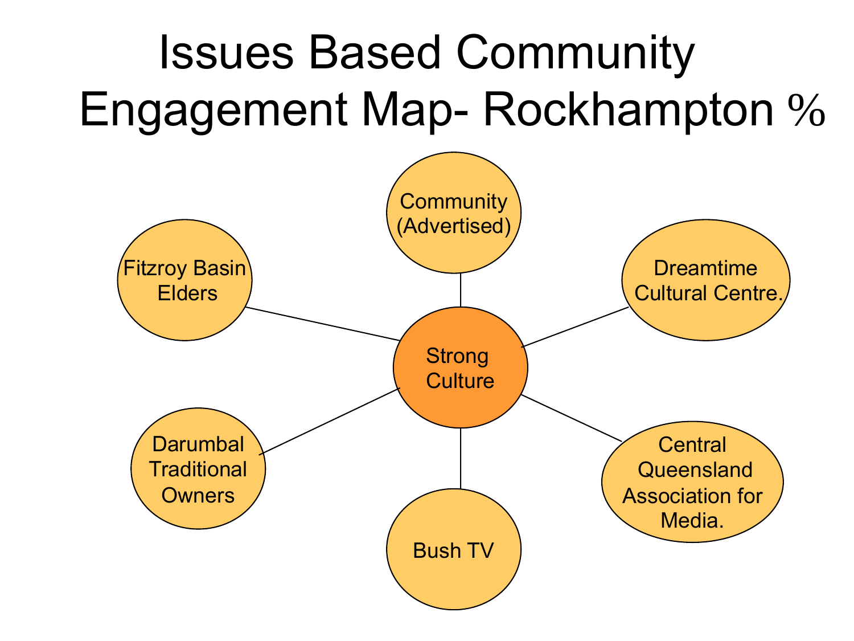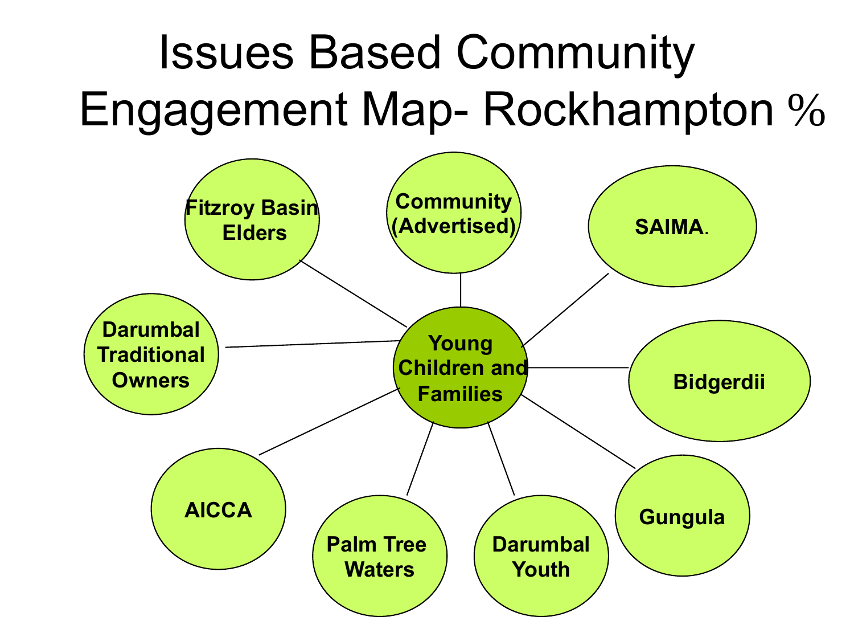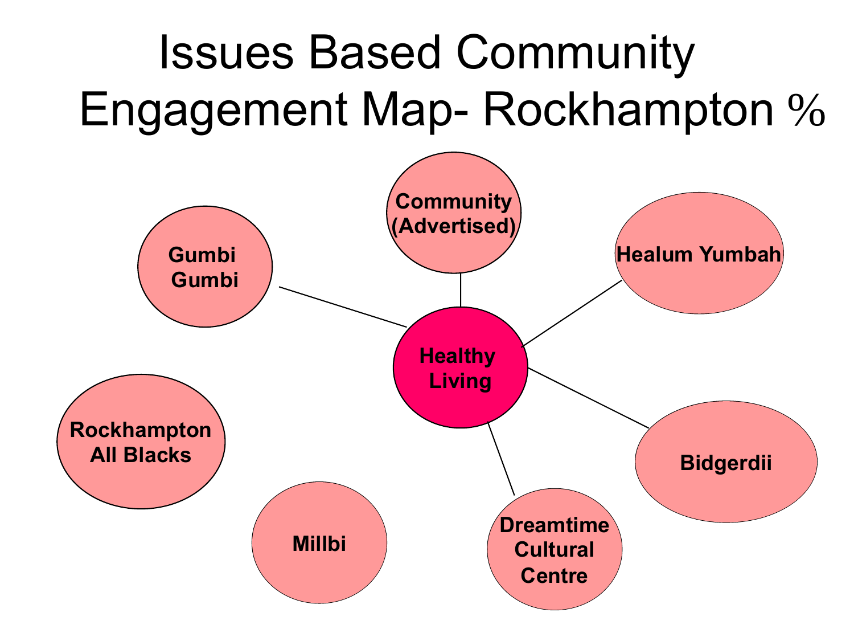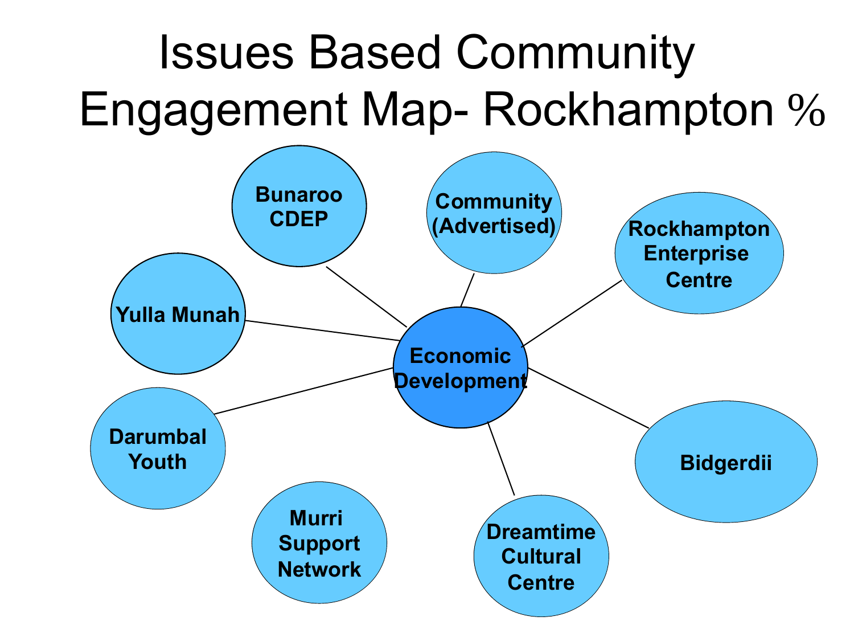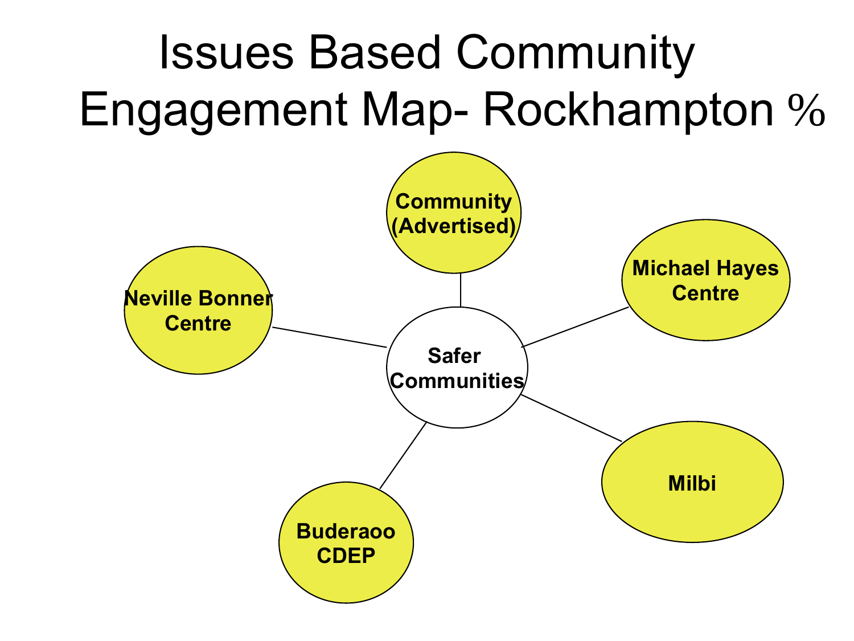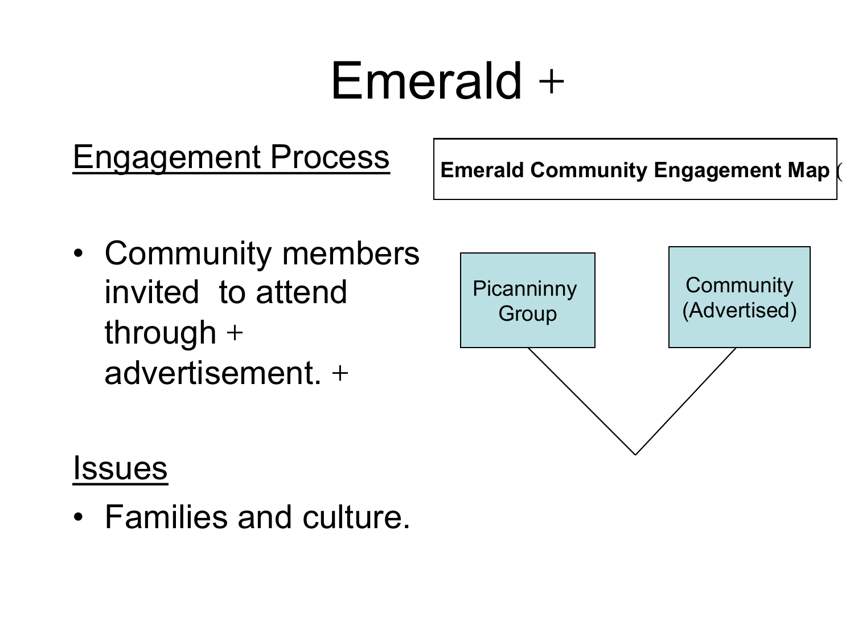## Emerald +

## **Engagement Process Emerald Community Engagement Map**

(

• Community members through + advertisement. +

# invited to attend Ficanninny | Community Group (Advertised)

### **Issues**

• Families and culture.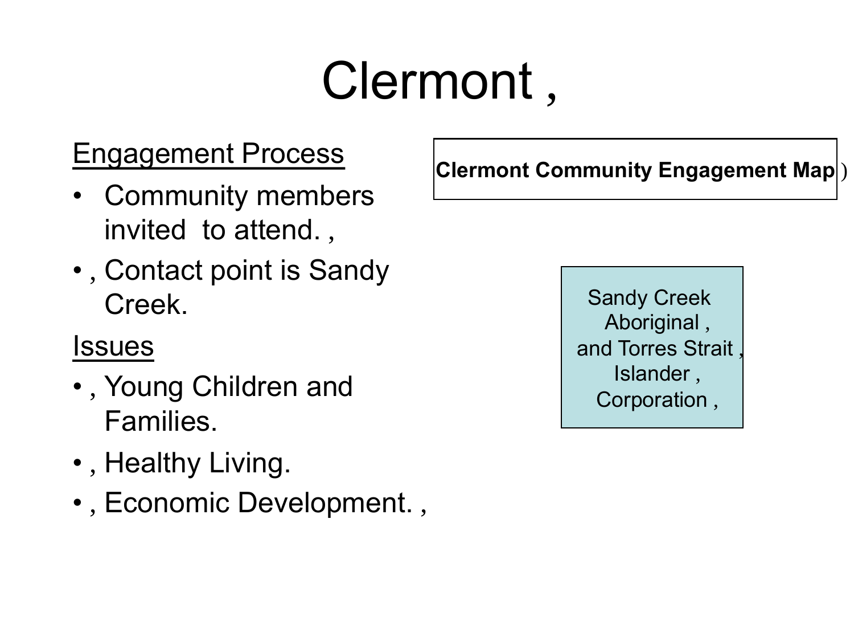## Clermont ,

### Engagement Process

- invited to attend. , • Community members
- **•**, Contact point is Sandy Creek.

### Issues

- • , Young Children and Families.
- , Healthy Living.
- , Economic Development. ,

**Clermont Community Engagement Map** )

Sandy Creek Aboriginal , and Torres Strait , Islander , Corporation ,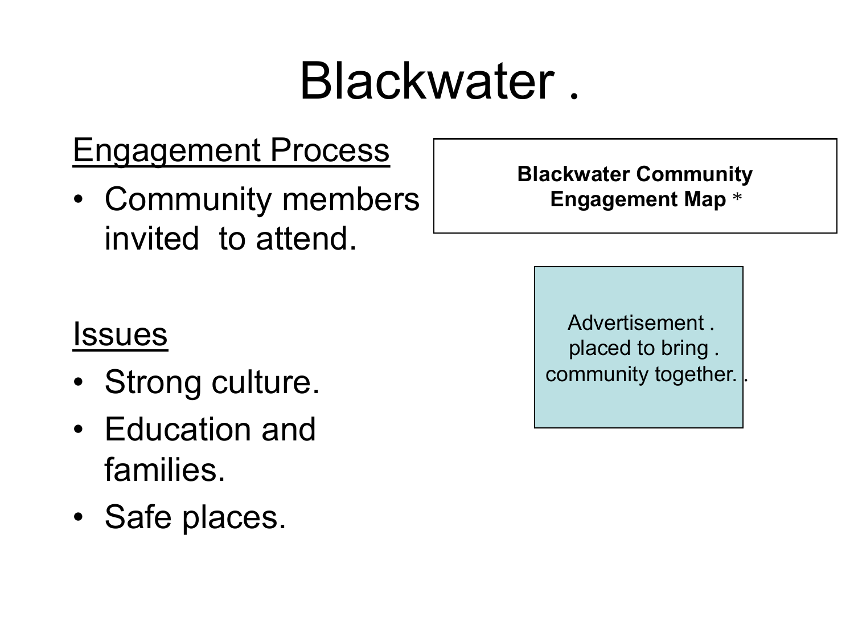## Blackwater .

### Engagement Process

 invited to attend. • Community members

#### **Blackwater Community Engagement Map** \*

### Issues

- Strong culture.
- • Education and families.
- Safe places.

 placed to bring . Advertisement . community together.

.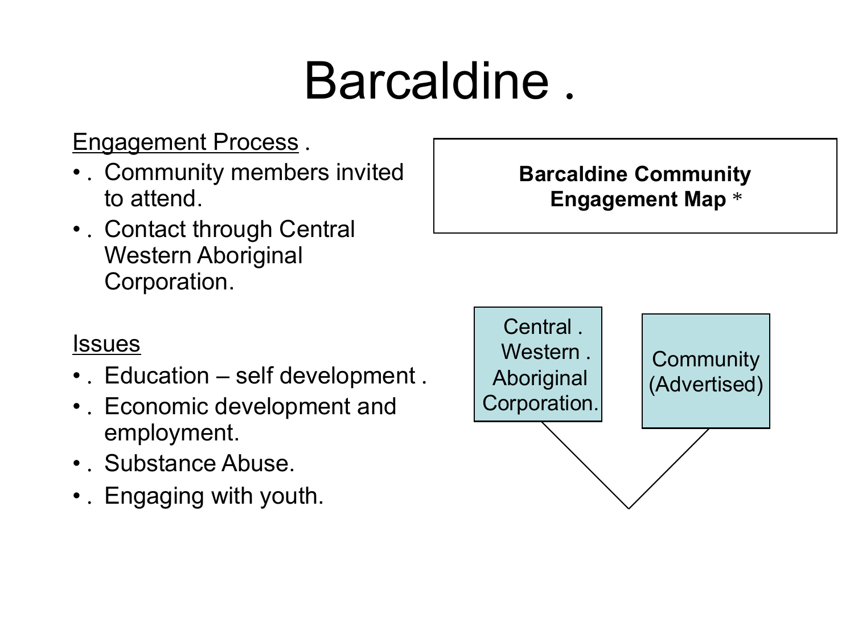## Barcaldine .

### Engagement Process.

- • . Community members invited to attend.
- • . Contact through Central Western Aboriginal Corporation.

### **Barcaldine Community Engagement Map** \*

#### **Issues**

- . Education self development.
- • . Economic development and employment.
- Substance Abuse.
- •. Engaging with youth.

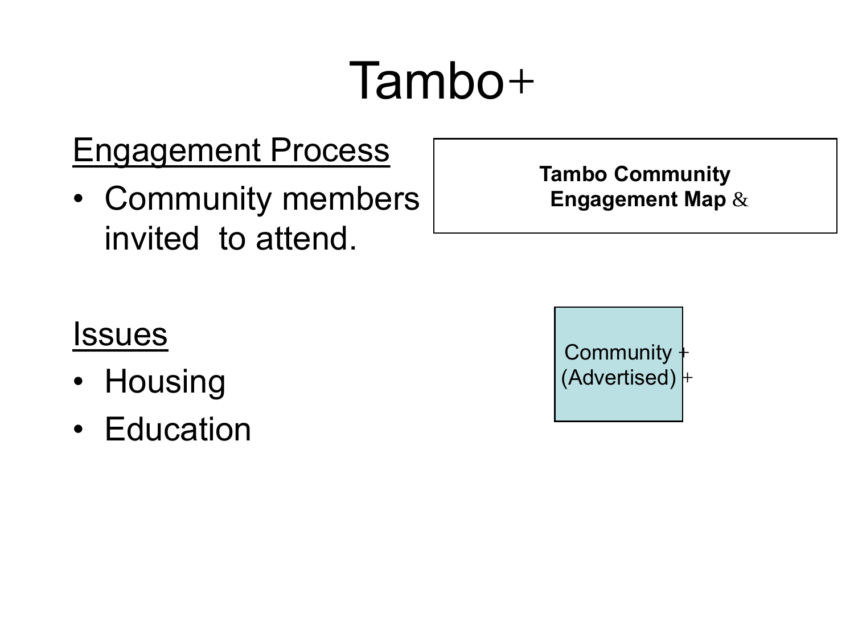## Tambo +

### Engagement Process

 invited to attend. • Community members **Tambo Community Engagement Map** &

### Issues

- Housing
- Education

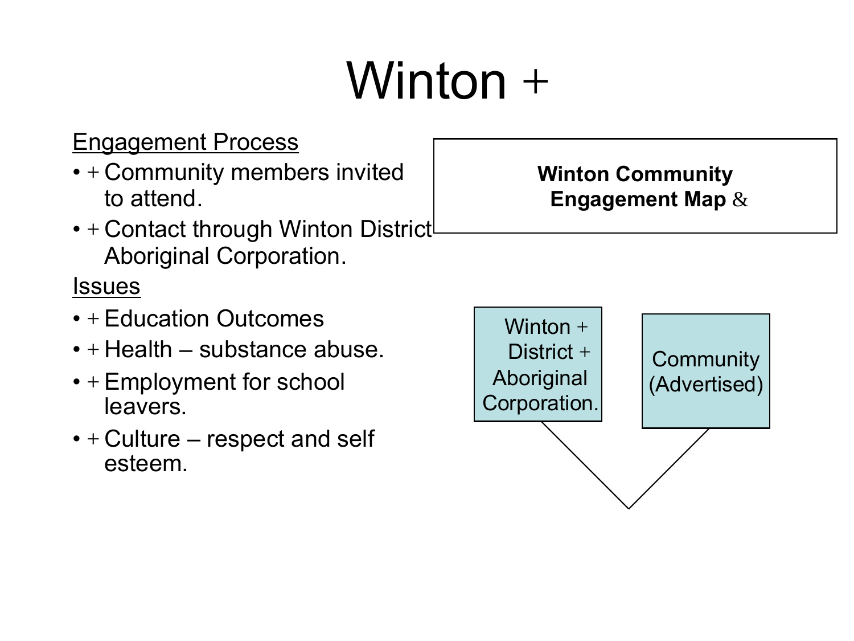## $Winton +$

### Engagement Process

- + Community members invited to attend.
- + Contact through Winton District Aboriginal Corporation.

#### **Issues**

- $\cdot$  + Education Outcomes
- $\bullet$  + Health substance abuse.
- + Employment for school leavers.
- $\bullet$  + Culture respect and self esteem.

## Winton  $+$ District  $+$ District + Community<br>
Corporation. (Advertised)

#### **Winton Community Engagement Map** &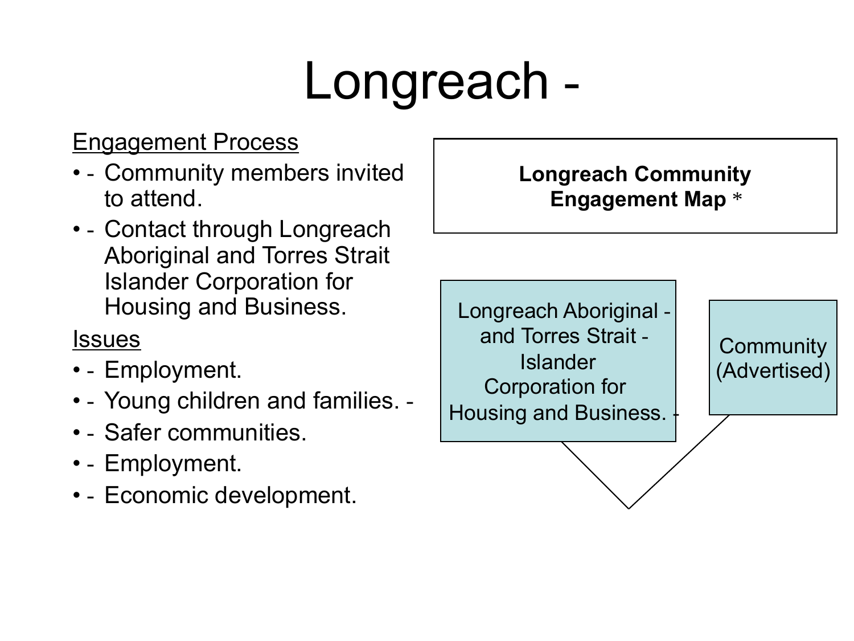## Longreach -

### Engagement Process

- - Community members invited to attend.
- - Contact through Longreach Aboriginal and Torres Strait Islander Corporation for Housing and Business.

### **Issues**

- - Employment.
- - Young children and families. -
- • - Safer communities.
- • - Employment.
- - Economic development.

### **Longreach Community Engagement Map** \*

Longreach Aboriginal and Torres Strait - <br>
Islander (Advertised)<br>
Corporation for Housing and Business.  $\frac{1}{1}$